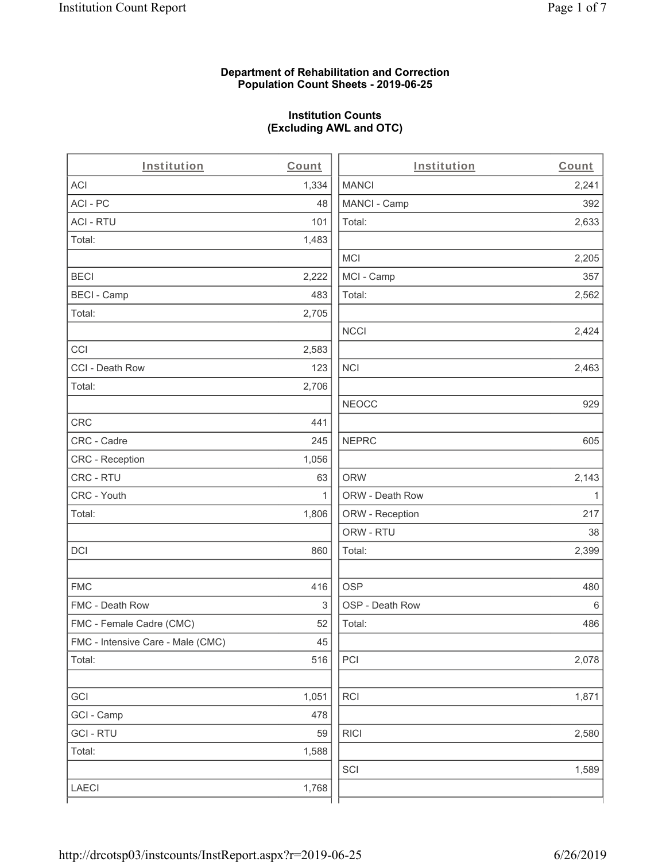#### **Department of Rehabilitation and Correction Population Count Sheets - 2019-06-25**

# **Institution Counts (Excluding AWL and OTC)**

. .

| Institution                       | Count        | Institution     | Count        |
|-----------------------------------|--------------|-----------------|--------------|
| ACI                               | 1,334        | <b>MANCI</b>    | 2,241        |
| ACI - PC                          | 48           | MANCI - Camp    | 392          |
| <b>ACI - RTU</b>                  | 101          | Total:          | 2,633        |
| Total:                            | 1,483        |                 |              |
|                                   |              | <b>MCI</b>      | 2,205        |
| <b>BECI</b>                       | 2,222        | MCI - Camp      | 357          |
| <b>BECI - Camp</b>                | 483          | Total:          | 2,562        |
| Total:                            | 2,705        |                 |              |
|                                   |              | <b>NCCI</b>     | 2,424        |
| CCI                               | 2,583        |                 |              |
| CCI - Death Row                   | 123          | <b>NCI</b>      | 2,463        |
| Total:                            | 2,706        |                 |              |
|                                   |              | <b>NEOCC</b>    | 929          |
| CRC                               | 441          |                 |              |
| CRC - Cadre                       | 245          | <b>NEPRC</b>    | 605          |
| CRC - Reception                   | 1,056        |                 |              |
| CRC - RTU                         | 63           | <b>ORW</b>      | 2,143        |
| CRC - Youth                       | $\mathbf{1}$ | ORW - Death Row | $\mathbf{1}$ |
| Total:                            | 1,806        | ORW - Reception | 217          |
|                                   |              | ORW - RTU       | 38           |
| DCI                               | 860          | Total:          | 2,399        |
| <b>FMC</b>                        | 416          | <b>OSP</b>      | 480          |
| FMC - Death Row                   | 3            | OSP - Death Row | 6            |
| FMC - Female Cadre (CMC)          | 52           | Total:          | 486          |
| FMC - Intensive Care - Male (CMC) | 45           |                 |              |
| Total:                            | 516          | PCI             | 2,078        |
| GCI                               | 1,051        | <b>RCI</b>      | 1,871        |
| GCI - Camp                        | 478          |                 |              |
| <b>GCI - RTU</b>                  | 59           | <b>RICI</b>     | 2,580        |
| Total:                            | 1,588        |                 |              |
|                                   |              | SCI             | 1,589        |
| LAECI                             | 1,768        |                 |              |
|                                   |              |                 |              |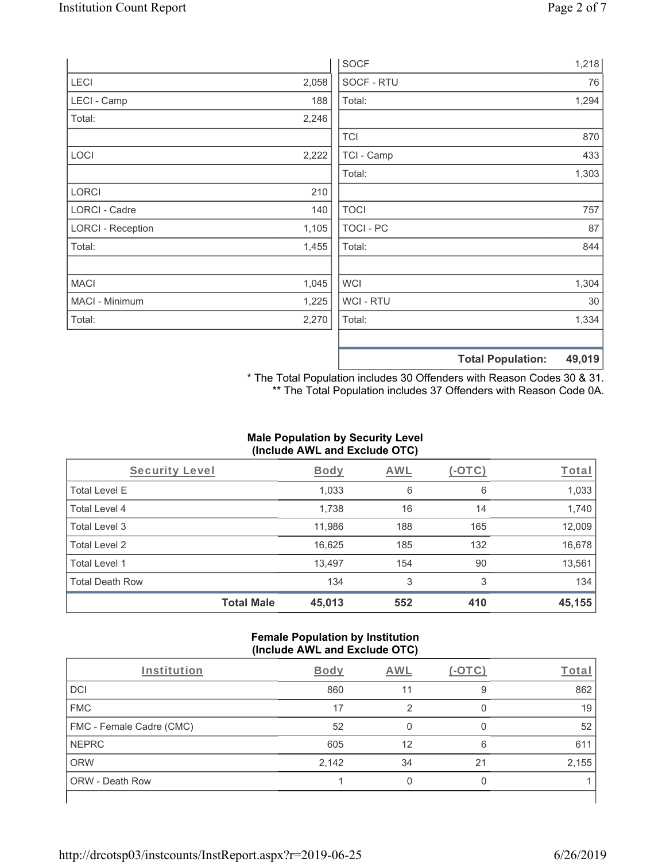|                          |       | <b>SOCF</b>    | 1,218 |
|--------------------------|-------|----------------|-------|
| LECI                     | 2,058 | SOCF - RTU     | 76    |
| LECI - Camp              | 188   | Total:         | 1,294 |
| Total:                   | 2,246 |                |       |
|                          |       | <b>TCI</b>     | 870   |
| LOCI                     | 2,222 | TCI - Camp     | 433   |
|                          |       | Total:         | 1,303 |
| LORCI                    | 210   |                |       |
| <b>LORCI - Cadre</b>     | 140   | <b>TOCI</b>    | 757   |
| <b>LORCI - Reception</b> | 1,105 | TOCI - PC      | 87    |
| Total:                   | 1,455 | Total:         | 844   |
| <b>MACI</b>              | 1,045 | <b>WCI</b>     | 1,304 |
| MACI - Minimum           | 1,225 | <b>WCI-RTU</b> | 30    |
| Total:                   | 2,270 | Total:         | 1,334 |
|                          |       |                |       |

**Total Population: 49,019**

\* The Total Population includes 30 Offenders with Reason Codes 30 & 31. \*\* The Total Population includes 37 Offenders with Reason Code 0A.

# **Male Population by Security Level (Include AWL and Exclude OTC)**

| Security Level         |                   | <b>Body</b> | AWL | (-OTC) | Total  |
|------------------------|-------------------|-------------|-----|--------|--------|
| <b>Total Level E</b>   |                   | 1,033       | 6   | 6      | 1,033  |
| Total Level 4          |                   | 1,738       | 16  | 14     | 1,740  |
| Total Level 3          |                   | 11,986      | 188 | 165    | 12,009 |
| Total Level 2          |                   | 16,625      | 185 | 132    | 16,678 |
| Total Level 1          |                   | 13,497      | 154 | 90     | 13,561 |
| <b>Total Death Row</b> |                   | 134         | 3   | 3      | 134    |
|                        | <b>Total Male</b> | 45,013      | 552 | 410    | 45,155 |

#### **Female Population by Institution (Include AWL and Exclude OTC)**

| Institution                     | Body  | AWL | $-$ () | Total |
|---------------------------------|-------|-----|--------|-------|
| DCI                             | 860   | 11  | 9      | 862   |
| <b>FMC</b>                      | 17    |     |        | 19    |
| <b>FMC - Female Cadre (CMC)</b> | 52    |     |        | 52    |
| <b>NEPRC</b>                    | 605   | 12  | 6      | 611   |
| <b>ORW</b>                      | 2,142 | 34  | 21     | 2,155 |
| <b>ORW - Death Row</b>          |       |     |        |       |
|                                 |       |     |        |       |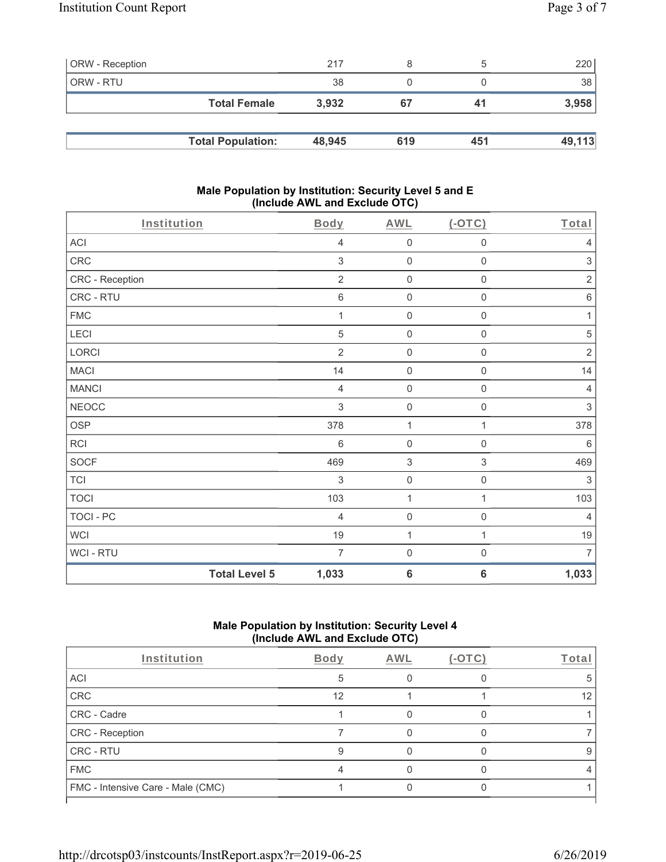| <b>ORW</b> - Reception |                          | 217    |     |     | 220    |
|------------------------|--------------------------|--------|-----|-----|--------|
| <b>ORW - RTU</b>       |                          | 38     |     |     | 38     |
|                        | <b>Total Female</b>      | 3,932  | 67  | 41  | 3,958  |
|                        |                          |        |     |     |        |
|                        | <b>Total Population:</b> | 48,945 | 619 | 451 | 49,113 |

#### **Male Population by Institution: Security Level 5 and E (Include AWL and Exclude OTC)**

| Institution     | <b>Body</b>                   | <b>AWL</b>                            | $($ -OTC $)$        | Total          |
|-----------------|-------------------------------|---------------------------------------|---------------------|----------------|
| ACI             |                               | $\overline{4}$<br>$\mathsf{O}\xspace$ | $\mathsf{O}\xspace$ | $\overline{4}$ |
| CRC             |                               | 3<br>$\mathbf 0$                      | $\mathsf{O}\xspace$ | 3              |
| CRC - Reception |                               | $\sqrt{2}$<br>$\mathbf 0$             | $\mathbf 0$         | $\sqrt{2}$     |
| CRC - RTU       |                               | $\,6\,$<br>$\mathsf{O}\xspace$        | $\mathsf 0$         | $\,6\,$        |
| ${\sf FMC}$     |                               | $\mathsf{O}\xspace$<br>1              | 0                   | 1              |
| LECI            |                               | 5<br>$\mathbf 0$                      | $\mathbf 0$         | 5              |
| LORCI           |                               | $\overline{2}$<br>$\mathbf 0$         | $\mathsf{O}\xspace$ | $\sqrt{2}$     |
| <b>MACI</b>     | 14                            | $\mathsf{O}\xspace$                   | $\mathsf{O}\xspace$ | 14             |
| <b>MANCI</b>    |                               | $\mathbf 0$<br>$\overline{4}$         | $\mathsf{O}\xspace$ | $\overline{4}$ |
| <b>NEOCC</b>    |                               | 3<br>$\mathbf 0$                      | $\mathsf 0$         | 3              |
| <b>OSP</b>      | 378                           | $\mathbf{1}$                          | 1                   | 378            |
| RCI             |                               | $6\,$<br>$\mathsf{O}\xspace$          | $\mathsf{O}\xspace$ | $6\,$          |
| <b>SOCF</b>     | 469                           | $\sqrt{3}$                            | $\,$ 3 $\,$         | 469            |
| <b>TCI</b>      |                               | 3<br>$\mathsf{O}\xspace$              | $\mathsf{O}\xspace$ | 3              |
| <b>TOCI</b>     | 103                           | $\mathbf{1}$                          | 1                   | 103            |
| TOCI - PC       |                               | $\mathbf 0$<br>$\overline{4}$         | $\mathsf 0$         | $\overline{4}$ |
| <b>WCI</b>      | $19$                          | $\mathbf{1}$                          | $\mathbf{1}$        | 19             |
| WCI - RTU       |                               | $\overline{7}$<br>$\mathsf{O}\xspace$ | $\boldsymbol{0}$    | $\overline{7}$ |
|                 | <b>Total Level 5</b><br>1,033 | $6\phantom{1}6$                       | $6\phantom{1}6$     | 1,033          |

# **Male Population by Institution: Security Level 4 (Include AWL and Exclude OTC)**

| Institution                       | Body | AWL | $(-OTC)$ | Total |
|-----------------------------------|------|-----|----------|-------|
| ACI                               | 5    |     |          | 5.    |
| CRC                               | 12   |     |          | 12    |
| CRC - Cadre                       |      |     |          |       |
| CRC - Reception                   |      |     |          |       |
| <b>CRC - RTU</b>                  |      |     |          | 9     |
| <b>FMC</b>                        |      |     |          |       |
| FMC - Intensive Care - Male (CMC) |      |     |          |       |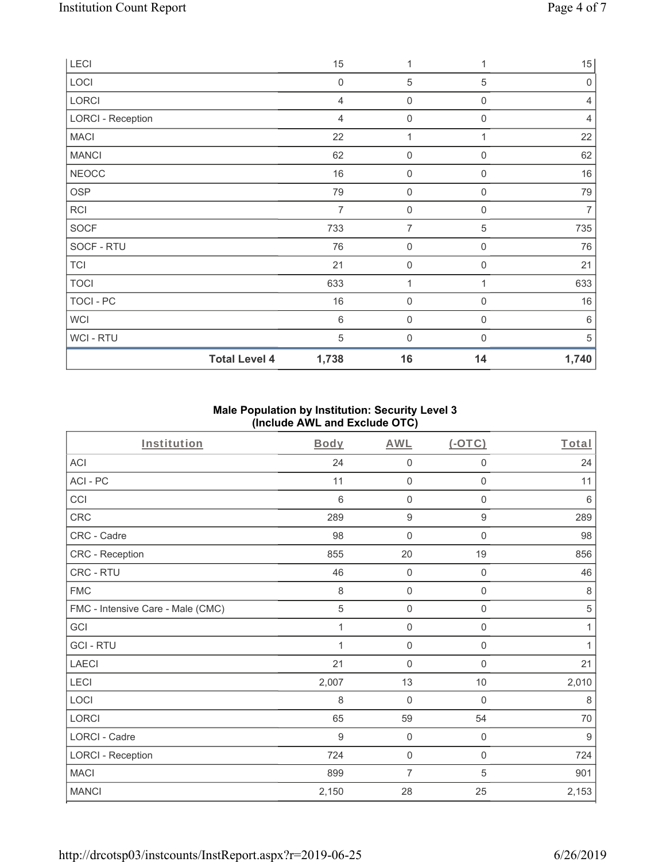| LECI                     | 15             | 1                   | 1                | 15             |
|--------------------------|----------------|---------------------|------------------|----------------|
| LOCI                     | $\mathbf 0$    | $\mathbf 5$         | 5                | $\mathbf 0$    |
| LORCI                    | $\overline{4}$ | $\mathbf 0$         | $\boldsymbol{0}$ | 4              |
| <b>LORCI - Reception</b> | 4              | $\boldsymbol{0}$    | $\mathbf 0$      | $\overline{4}$ |
| <b>MACI</b>              | 22             | $\mathbf 1$         |                  | 22             |
| <b>MANCI</b>             | 62             | $\mathsf{O}\xspace$ | $\boldsymbol{0}$ | 62             |
| <b>NEOCC</b>             | 16             | $\boldsymbol{0}$    | $\mathbf 0$      | 16             |
| OSP                      | 79             | $\mathsf{O}\xspace$ | $\mathbf 0$      | 79             |
| <b>RCI</b>               | $\overline{7}$ | $\boldsymbol{0}$    | $\boldsymbol{0}$ | $\overline{7}$ |
| <b>SOCF</b>              | 733            | $\overline{7}$      | 5                | 735            |
| SOCF - RTU               | 76             | $\boldsymbol{0}$    | $\mathbf 0$      | 76             |
| <b>TCI</b>               | 21             | $\mathsf{O}\xspace$ | $\boldsymbol{0}$ | 21             |
| <b>TOCI</b>              | 633            | 1                   |                  | 633            |
| TOCI - PC                | 16             | $\mathsf{O}\xspace$ | $\mathbf 0$      | 16             |
| <b>WCI</b>               | $\,6$          | $\boldsymbol{0}$    | $\mathbf 0$      | 6              |
| <b>WCI-RTU</b>           | 5              | $\boldsymbol{0}$    | $\Omega$         | 5              |
| <b>Total Level 4</b>     | 1,738          | 16                  | 14               | 1,740          |

## **Male Population by Institution: Security Level 3 (Include AWL and Exclude OTC)**

| Institution                       | <b>Body</b>  | <b>AWL</b>          | $($ -OTC $)$        | Total          |
|-----------------------------------|--------------|---------------------|---------------------|----------------|
| <b>ACI</b>                        | 24           | 0                   | $\mathbf 0$         | 24             |
| ACI-PC                            | 11           | 0                   | $\mathbf 0$         | 11             |
| CCI                               | 6            | 0                   | 0                   | $\,6\,$        |
| CRC                               | 289          | $\boldsymbol{9}$    | $\boldsymbol{9}$    | 289            |
| CRC - Cadre                       | 98           | 0                   | $\mathsf{O}\xspace$ | 98             |
| CRC - Reception                   | 855          | 20                  | 19                  | 856            |
| CRC - RTU                         | 46           | $\mathsf{O}\xspace$ | $\mathsf{O}\xspace$ | 46             |
| <b>FMC</b>                        | 8            | $\mathbf 0$         | $\mathbf 0$         | $\,8\,$        |
| FMC - Intensive Care - Male (CMC) | 5            | 0                   | $\mathbf 0$         | 5              |
| GCI                               | $\mathbf{1}$ | $\mathsf{O}\xspace$ | $\mathsf{O}\xspace$ | 1              |
| <b>GCI-RTU</b>                    | 1            | 0                   | 0                   | 1              |
| <b>LAECI</b>                      | 21           | 0                   | $\mathsf{O}\xspace$ | 21             |
| LECI                              | 2,007        | 13                  | 10                  | 2,010          |
| LOCI                              | $\,8\,$      | $\mathbf 0$         | $\mathbf 0$         | $\,8\,$        |
| LORCI                             | 65           | 59                  | 54                  | $70$           |
| <b>LORCI - Cadre</b>              | 9            | $\mathsf{O}\xspace$ | $\mathbf 0$         | $\overline{9}$ |
| <b>LORCI - Reception</b>          | 724          | $\mathsf{O}\xspace$ | $\mathsf{O}\xspace$ | 724            |
| <b>MACI</b>                       | 899          | 7                   | 5                   | 901            |
| <b>MANCI</b>                      | 2,150        | 28                  | 25                  | 2,153          |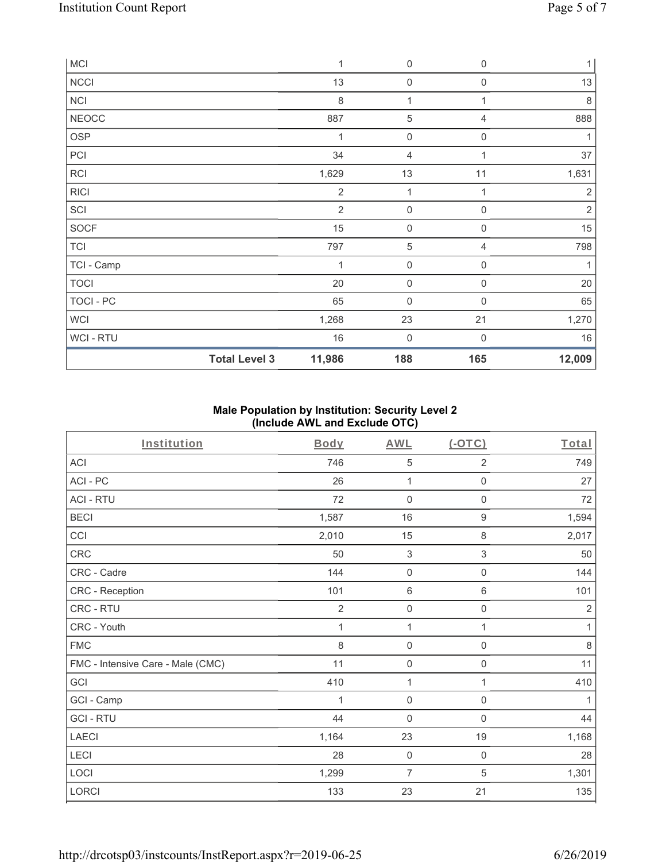| <b>MCI</b>     |                      | $\mathbf{1}$   | $\mathsf{O}\xspace$ | $\mathbf 0$         | $\mathbf{1}$   |
|----------------|----------------------|----------------|---------------------|---------------------|----------------|
| <b>NCCI</b>    |                      | 13             | $\mathsf{O}\xspace$ | $\mathbf 0$         | 13             |
| <b>NCI</b>     |                      | 8              | 1                   | 1                   | $\,8\,$        |
| <b>NEOCC</b>   |                      | 887            | 5                   | 4                   | 888            |
| OSP            |                      | 1              | $\mathsf{O}\xspace$ | $\mathsf{O}\xspace$ |                |
| PCI            |                      | 34             | 4                   |                     | 37             |
| <b>RCI</b>     |                      | 1,629          | 13                  | 11                  | 1,631          |
| <b>RICI</b>    |                      | $\overline{2}$ | $\mathbf 1$         | 1                   | $\sqrt{2}$     |
| SCI            |                      | $\overline{2}$ | $\boldsymbol{0}$    | $\mathbf 0$         | $\overline{2}$ |
| SOCF           |                      | 15             | $\boldsymbol{0}$    | $\mathbf 0$         | 15             |
| <b>TCI</b>     |                      | 797            | 5                   | 4                   | 798            |
| TCI - Camp     |                      | 1              | $\mathsf{O}\xspace$ | 0                   | 1              |
| <b>TOCI</b>    |                      | 20             | $\mathsf{O}\xspace$ | $\mathbf 0$         | 20             |
| TOCI - PC      |                      | 65             | $\boldsymbol{0}$    | 0                   | 65             |
| <b>WCI</b>     |                      | 1,268          | 23                  | 21                  | 1,270          |
| <b>WCI-RTU</b> |                      | 16             | $\boldsymbol{0}$    | $\mathbf 0$         | 16             |
|                | <b>Total Level 3</b> | 11,986         | 188                 | 165                 | 12,009         |

## **Male Population by Institution: Security Level 2 (Include AWL and Exclude OTC)**

| Institution                       | <b>Body</b>    | <b>AWL</b>          | (OTC)               | Total          |
|-----------------------------------|----------------|---------------------|---------------------|----------------|
| <b>ACI</b>                        | 746            | 5                   | 2                   | 749            |
| ACI-PC                            | 26             | 1                   | 0                   | 27             |
| <b>ACI - RTU</b>                  | 72             | $\mathbf 0$         | $\mathsf{O}\xspace$ | 72             |
| <b>BECI</b>                       | 1,587          | 16                  | $\boldsymbol{9}$    | 1,594          |
| CCI                               | 2,010          | 15                  | 8                   | 2,017          |
| CRC                               | 50             | $\sqrt{3}$          | 3                   | 50             |
| CRC - Cadre                       | 144            | $\mathbf 0$         | $\mathsf{O}\xspace$ | 144            |
| CRC - Reception                   | 101            | $6\,$               | 6                   | 101            |
| CRC - RTU                         | $\overline{2}$ | $\mathsf{O}\xspace$ | $\mathsf 0$         | $\overline{2}$ |
| CRC - Youth                       | 1              | 1                   | 1                   | $\mathbf{1}$   |
| <b>FMC</b>                        | $\,8\,$        | $\mathbf 0$         | 0                   | $\,8\,$        |
| FMC - Intensive Care - Male (CMC) | 11             | $\mathsf{O}\xspace$ | $\mathbf 0$         | 11             |
| GCI                               | 410            | 1                   | 1                   | 410            |
| GCI - Camp                        | 1              | $\mathsf{O}\xspace$ | $\mathbf 0$         | $\mathbf{1}$   |
| <b>GCI-RTU</b>                    | 44             | $\mathbf 0$         | $\mathsf 0$         | 44             |
| <b>LAECI</b>                      | 1,164          | 23                  | 19                  | 1,168          |
| LECI                              | 28             | $\mathbf 0$         | $\mathsf{O}\xspace$ | 28             |
| LOCI                              | 1,299          | $\overline{7}$      | 5                   | 1,301          |
| LORCI                             | 133            | 23                  | 21                  | 135            |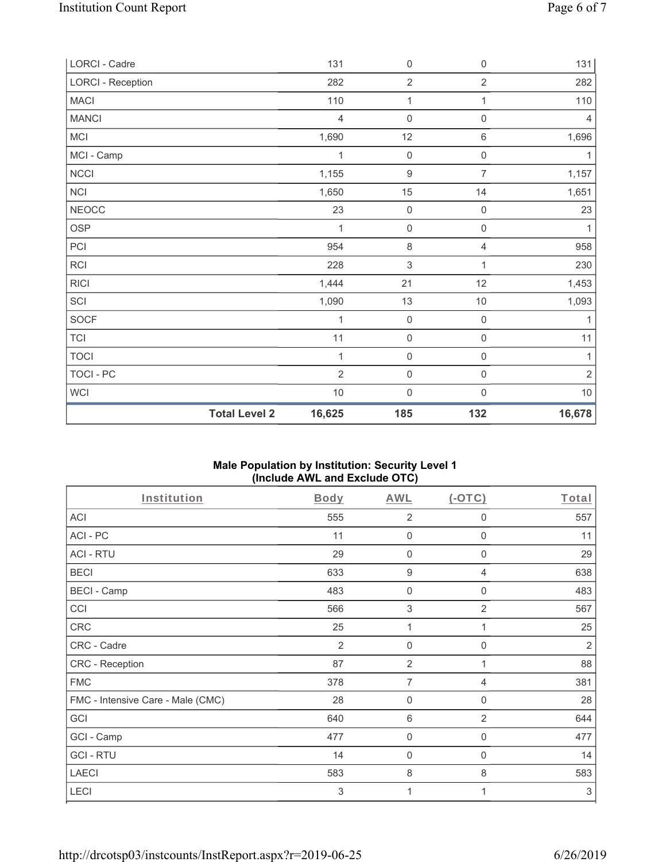| LORCI - Cadre            |                      | 131            | $\mathsf{O}\xspace$ | $\mathsf 0$         | 131            |
|--------------------------|----------------------|----------------|---------------------|---------------------|----------------|
| <b>LORCI - Reception</b> |                      | 282            | $\overline{2}$      | $\overline{2}$      | 282            |
| <b>MACI</b>              |                      | 110            | $\mathbf{1}$        | 1                   | 110            |
| <b>MANCI</b>             |                      | $\overline{4}$ | $\mathsf{O}\xspace$ | 0                   | $\overline{4}$ |
| <b>MCI</b>               |                      | 1,690          | 12                  | $\,6\,$             | 1,696          |
| MCI - Camp               |                      | 1              | $\mathsf{O}\xspace$ | $\mathsf{O}\xspace$ | 1              |
| NCCI                     |                      | 1,155          | $\boldsymbol{9}$    | $\overline{7}$      | 1,157          |
| NCI                      |                      | 1,650          | 15                  | 14                  | 1,651          |
| <b>NEOCC</b>             |                      | 23             | $\mathsf{O}\xspace$ | $\mathbf 0$         | 23             |
| <b>OSP</b>               |                      | 1              | $\mathsf{O}\xspace$ | $\mathsf{O}\xspace$ | 1              |
| PCI                      |                      | 954            | $\,8\,$             | $\overline{4}$      | 958            |
| RCI                      |                      | 228            | $\sqrt{3}$          | $\mathbf{1}$        | 230            |
| <b>RICI</b>              |                      | 1,444          | 21                  | 12                  | 1,453          |
| SCI                      |                      | 1,090          | 13                  | $10$                | 1,093          |
| SOCF                     |                      | 1              | $\mathbf 0$         | $\mathbf 0$         | 1              |
| <b>TCI</b>               |                      | 11             | $\mathsf{O}\xspace$ | $\mathbf 0$         | 11             |
| <b>TOCI</b>              |                      | 1              | $\mathsf{O}\xspace$ | $\mathsf{O}\xspace$ | 1              |
| TOCI - PC                |                      | $\overline{2}$ | $\mathbf 0$         | $\mathsf{O}\xspace$ | $\overline{2}$ |
| <b>WCI</b>               |                      | $10$           | $\mathbf 0$         | $\mathsf 0$         | $10$           |
|                          | <b>Total Level 2</b> | 16,625         | 185                 | 132                 | 16,678         |

#### **Male Population by Institution: Security Level 1 (Include AWL and Exclude OTC)**

| Institution                       | <b>Body</b> | <b>AWL</b>     | $(-OTC)$       | Total          |
|-----------------------------------|-------------|----------------|----------------|----------------|
| <b>ACI</b>                        | 555         | $\overline{2}$ | 0              | 557            |
| ACI-PC                            | 11          | 0              | $\mathbf 0$    | 11             |
| <b>ACI - RTU</b>                  | 29          | $\mathbf 0$    | $\mathbf 0$    | 29             |
| <b>BECI</b>                       | 633         | 9              | 4              | 638            |
| <b>BECI - Camp</b>                | 483         | 0              | $\mathbf{0}$   | 483            |
| CCI                               | 566         | 3              | 2              | 567            |
| <b>CRC</b>                        | 25          | 1              |                | 25             |
| CRC - Cadre                       | 2           | 0              | $\mathbf 0$    | $\overline{2}$ |
| CRC - Reception                   | 87          | $\overline{2}$ | 1              | 88             |
| <b>FMC</b>                        | 378         | $\overline{7}$ | 4              | 381            |
| FMC - Intensive Care - Male (CMC) | 28          | $\mathbf 0$    | 0              | 28             |
| GCI                               | 640         | 6              | $\overline{2}$ | 644            |
| GCI - Camp                        | 477         | 0              | $\mathbf 0$    | 477            |
| <b>GCI-RTU</b>                    | 14          | $\mathbf 0$    | 0              | 14             |
| <b>LAECI</b>                      | 583         | 8              | 8              | 583            |
| LECI                              | 3           | 1              | 1              | $\,$ 3 $\,$    |